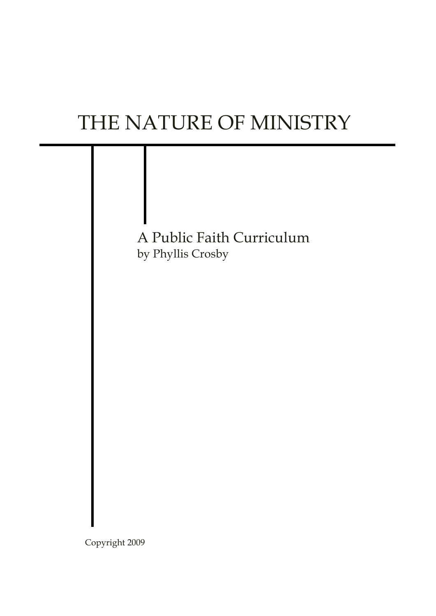# THE NATURE OF MINISTRY

A Public Faith Curriculum by Phyllis Crosby

Copyright 2009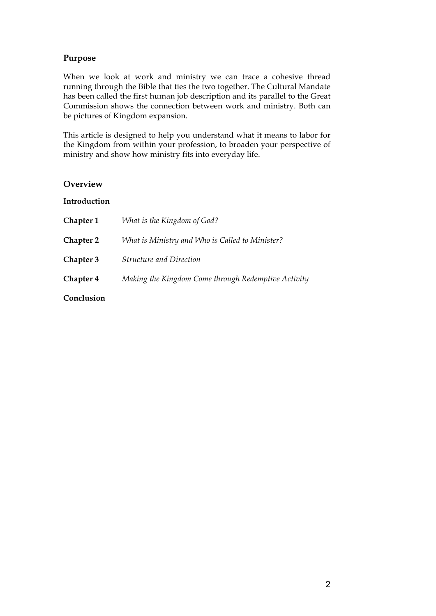## **Purpose**

When we look at work and ministry we can trace a cohesive thread running through the Bible that ties the two together. The Cultural Mandate has been called the first human job description and its parallel to the Great Commission shows the connection between work and ministry. Both can be pictures of Kingdom expansion.

This article is designed to help you understand what it means to labor for the Kingdom from within your profession, to broaden your perspective of ministry and show how ministry fits into everyday life.

| Overview         |                                                     |
|------------------|-----------------------------------------------------|
| Introduction     |                                                     |
| Chapter 1        | What is the Kingdom of God?                         |
| <b>Chapter 2</b> | What is Ministry and Who is Called to Minister?     |
| Chapter 3        | <b>Structure and Direction</b>                      |
| Chapter 4        | Making the Kingdom Come through Redemptive Activity |
| Conclusion       |                                                     |

2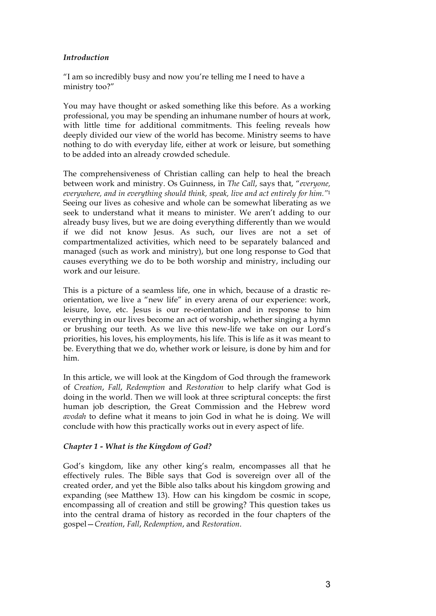## *Introduction*

"I am so incredibly busy and now you're telling me I need to have a ministry too?"

You may have thought or asked something like this before. As a working professional, you may be spending an inhumane number of hours at work, with little time for additional commitments. This feeling reveals how deeply divided our view of the world has become. Ministry seems to have nothing to do with everyday life, either at work or leisure, but something to be added into an already crowded schedule.

The comprehensiveness of Christian calling can help to heal the breach between work and ministry. Os Guinness, in *The Call*, says that, "*everyone, everywhere, and in everything should think, speak, live and act entirely for him."*<sup>1</sup> Seeing our lives as cohesive and whole can be somewhat liberating as we seek to understand what it means to minister. We aren't adding to our already busy lives, but we are doing everything differently than we would if we did not know Jesus. As such, our lives are not a set of compartmentalized activities, which need to be separately balanced and managed (such as work and ministry), but one long response to God that causes everything we do to be both worship and ministry, including our work and our leisure.

This is a picture of a seamless life, one in which, because of a drastic reorientation, we live a "new life" in every arena of our experience: work, leisure, love, etc. Jesus is our re-orientation and in response to him everything in our lives become an act of worship, whether singing a hymn or brushing our teeth. As we live this new-life we take on our Lord's priorities, his loves, his employments, his life. This is life as it was meant to be. Everything that we do, whether work or leisure, is done by him and for him.

In this article, we will look at the Kingdom of God through the framework of *Creation*, *Fall*, *Redemption* and *Restoration* to help clarify what God is doing in the world. Then we will look at three scriptural concepts: the first human job description, the Great Commission and the Hebrew word *avodah* to define what it means to join God in what he is doing. We will conclude with how this practically works out in every aspect of life.

## *Chapter 1 - What is the Kingdom of God?*

God's kingdom, like any other king's realm, encompasses all that he effectively rules. The Bible says that God is sovereign over all of the created order, and yet the Bible also talks about his kingdom growing and expanding (see Matthew 13). How can his kingdom be cosmic in scope, encompassing all of creation and still be growing? This question takes us into the central drama of history as recorded in the four chapters of the gospel—*Creation*, *Fall*, *Redemption*, and *Restoration*.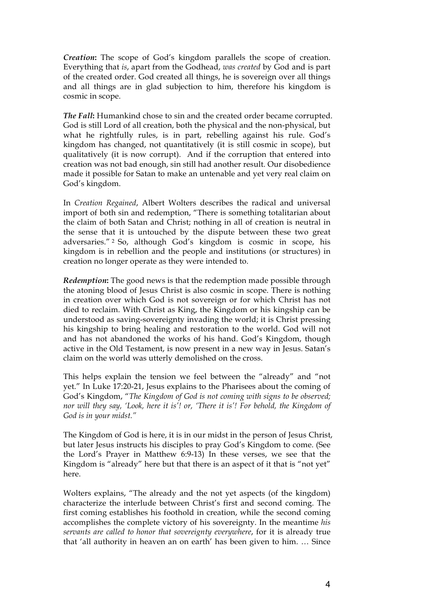*Creation***:** The scope of God's kingdom parallels the scope of creation. Everything that *is*, apart from the Godhead, *was created* by God and is part of the created order. God created all things, he is sovereign over all things and all things are in glad subjection to him, therefore his kingdom is cosmic in scope.

*The Fall***:** Humankind chose to sin and the created order became corrupted. God is still Lord of all creation, both the physical and the non-physical, but what he rightfully rules, is in part, rebelling against his rule. God's kingdom has changed, not quantitatively (it is still cosmic in scope), but qualitatively (it is now corrupt). And if the corruption that entered into creation was not bad enough, sin still had another result. Our disobedience made it possible for Satan to make an untenable and yet very real claim on God's kingdom.

In *Creation Regained*, Albert Wolters describes the radical and universal import of both sin and redemption, "There is something totalitarian about the claim of both Satan and Christ; nothing in all of creation is neutral in the sense that it is untouched by the dispute between these two great adversaries." <sup>2</sup> So, although God's kingdom is cosmic in scope, his kingdom is in rebellion and the people and institutions (or structures) in creation no longer operate as they were intended to.

*Redemption***:** The good news is that the redemption made possible through the atoning blood of Jesus Christ is also cosmic in scope. There is nothing in creation over which God is not sovereign or for which Christ has not died to reclaim. With Christ as King, the Kingdom or his kingship can be understood as saving-sovereignty invading the world; it is Christ pressing his kingship to bring healing and restoration to the world. God will not and has not abandoned the works of his hand. God's Kingdom, though active in the Old Testament, is now present in a new way in Jesus. Satan's claim on the world was utterly demolished on the cross.

This helps explain the tension we feel between the "already" and "not yet." In Luke 17:20-21, Jesus explains to the Pharisees about the coming of God's Kingdom, "*The Kingdom of God is not coming with signs to be observed; nor will they say, 'Look, here it is'! or, 'There it is'! For behold, the Kingdom of God is in your midst."*

The Kingdom of God is here, it is in our midst in the person of Jesus Christ, but later Jesus instructs his disciples to pray God's Kingdom to come. (See the Lord's Prayer in Matthew 6:9-13) In these verses, we see that the Kingdom is "already" here but that there is an aspect of it that is "not yet" here.

Wolters explains, "The already and the not yet aspects (of the kingdom) characterize the interlude between Christ's first and second coming. The first coming establishes his foothold in creation, while the second coming accomplishes the complete victory of his sovereignty. In the meantime *his servants are called to honor that sovereignty everywhere*, for it is already true that 'all authority in heaven an on earth' has been given to him. … Since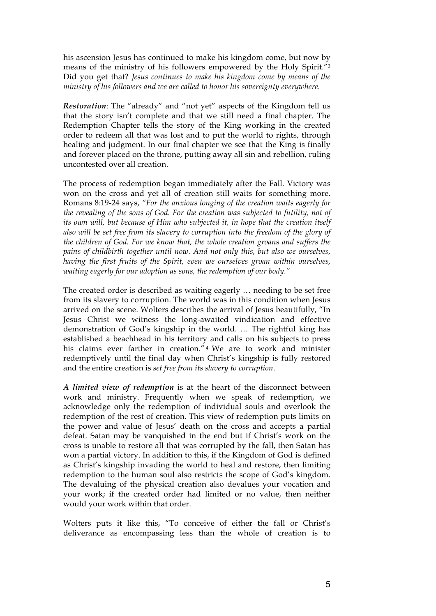his ascension Jesus has continued to make his kingdom come, but now by means of the ministry of his followers empowered by the Holy Spirit."3 Did you get that? *Jesus continues to make his kingdom come by means of the ministry of his followers and we are called to honor his sovereignty everywhere.*

*Restoration*: The "already" and "not yet" aspects of the Kingdom tell us that the story isn't complete and that we still need a final chapter. The Redemption Chapter tells the story of the King working in the created order to redeem all that was lost and to put the world to rights, through healing and judgment. In our final chapter we see that the King is finally and forever placed on the throne, putting away all sin and rebellion, ruling uncontested over all creation.

The process of redemption began immediately after the Fall. Victory was won on the cross and yet all of creation still waits for something more. Romans 8:19-24 says, *"For the anxious longing of the creation waits eagerly for the revealing of the sons of God. For the creation was subjected to futility, not of its own will, but because of Him who subjected it, in hope that the creation itself also will be set free from its slavery to corruption into the freedom of the glory of the children of God. For we know that, the whole creation groans and suffers the pains of childbirth together until now. And not only this, but also we ourselves, having the first fruits of the Spirit, even we ourselves groan within ourselves, waiting eagerly for our adoption as sons, the redemption of our body."*

The created order is described as waiting eagerly … needing to be set free from its slavery to corruption. The world was in this condition when Jesus arrived on the scene. Wolters describes the arrival of Jesus beautifully, "In Jesus Christ we witness the long-awaited vindication and effective demonstration of God's kingship in the world. … The rightful king has established a beachhead in his territory and calls on his subjects to press his claims ever farther in creation.<sup>"4</sup> We are to work and minister redemptively until the final day when Christ's kingship is fully restored and the entire creation is *set free from its slavery to corruption*.

*A limited view of redemption* is at the heart of the disconnect between work and ministry. Frequently when we speak of redemption, we acknowledge only the redemption of individual souls and overlook the redemption of the rest of creation. This view of redemption puts limits on the power and value of Jesus' death on the cross and accepts a partial defeat. Satan may be vanquished in the end but if Christ's work on the cross is unable to restore all that was corrupted by the fall, then Satan has won a partial victory. In addition to this, if the Kingdom of God is defined as Christ's kingship invading the world to heal and restore, then limiting redemption to the human soul also restricts the scope of God's kingdom. The devaluing of the physical creation also devalues your vocation and your work; if the created order had limited or no value, then neither would your work within that order.

Wolters puts it like this, "To conceive of either the fall or Christ's deliverance as encompassing less than the whole of creation is to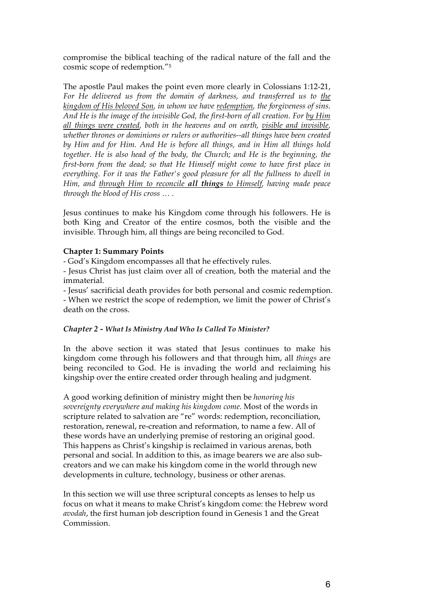compromise the biblical teaching of the radical nature of the fall and the cosmic scope of redemption."5

The apostle Paul makes the point even more clearly in Colossians 1:12-21, *For He delivered us from the domain of darkness, and transferred us to the kingdom of His beloved Son, in whom we have redemption, the forgiveness of sins. And He is the image of the invisible God, the first-born of all creation. For by Him all things were created, both in the heavens and on earth, visible and invisible, whether thrones or dominions or rulers or authorities--all things have been created by Him and for Him. And He is before all things, and in Him all things hold together. He is also head of the body, the Church; and He is the beginning, the first-born from the dead; so that He Himself might come to have first place in everything. For it was the Father's good pleasure for all the fullness to dwell in Him, and through Him to reconcile all things to Himself, having made peace through the blood of His cross … .*

Jesus continues to make his Kingdom come through his followers. He is both King and Creator of the entire cosmos, both the visible and the invisible. Through him, all things are being reconciled to God.

## **Chapter 1: Summary Points**

- God's Kingdom encompasses all that he effectively rules.

- Jesus Christ has just claim over all of creation, both the material and the immaterial.

- Jesus' sacrificial death provides for both personal and cosmic redemption.

- When we restrict the scope of redemption, we limit the power of Christ's death on the cross.

## *Chapter 2 - What Is Ministry And Who Is Called To Minister?*

In the above section it was stated that Jesus continues to make his kingdom come through his followers and that through him, all *things* are being reconciled to God. He is invading the world and reclaiming his kingship over the entire created order through healing and judgment.

A good working definition of ministry might then be *honoring his sovereignty everywhere and making his kingdom come*. Most of the words in scripture related to salvation are "re" words: redemption, reconciliation, restoration, renewal, re-creation and reformation, to name a few. All of these words have an underlying premise of restoring an original good. This happens as Christ's kingship is reclaimed in various arenas, both personal and social. In addition to this, as image bearers we are also subcreators and we can make his kingdom come in the world through new developments in culture, technology, business or other arenas.

In this section we will use three scriptural concepts as lenses to help us focus on what it means to make Christ's kingdom come: the Hebrew word *avodah*, the first human job description found in Genesis 1 and the Great Commission.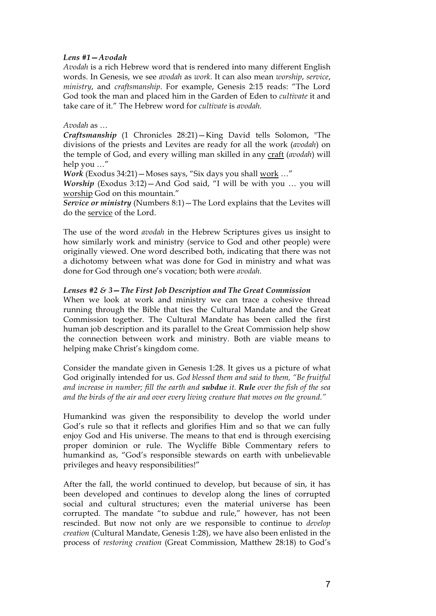## *Lens #1—Avodah*

*Avodah* is a rich Hebrew word that is rendered into many different English words. In Genesis, we see *avodah* as *work.* It can also mean *worship*, *service*, *ministry*, and *craftsmanship*. For example, Genesis 2:15 reads: "The Lord God took the man and placed him in the Garden of Eden to *cultivate* it and take care of it." The Hebrew word for *cultivate* is *avodah.*

## *Avodah* as …

*Craftsmanship* (1 Chronicles 28:21)—King David tells Solomon, "The divisions of the priests and Levites are ready for all the work (*avodah*) on the temple of God, and every willing man skilled in any craft (*avodah*) will help you …"

*Work* (Exodus 34:21)—Moses says, "Six days you shall work …"

*Worship* (Exodus 3:12)—And God said, "I will be with you … you will worship God on this mountain."

*Service or ministry* (Numbers 8:1) – The Lord explains that the Levites will do the service of the Lord.

The use of the word *avodah* in the Hebrew Scriptures gives us insight to how similarly work and ministry (service to God and other people) were originally viewed. One word described both, indicating that there was not a dichotomy between what was done for God in ministry and what was done for God through one's vocation; both were *avodah*.

## *Lenses #2 & 3—The First Job Description and The Great Commission*

When we look at work and ministry we can trace a cohesive thread running through the Bible that ties the Cultural Mandate and the Great Commission together. The Cultural Mandate has been called the first human job description and its parallel to the Great Commission help show the connection between work and ministry. Both are viable means to helping make Christ's kingdom come.

Consider the mandate given in Genesis 1:28. It gives us a picture of what God originally intended for us. *God blessed them and said to them, "Be fruitful and increase in number; fill the earth and subdue it. Rule over the fish of the sea and the birds of the air and over every living creature that moves on the ground."*

Humankind was given the responsibility to develop the world under God's rule so that it reflects and glorifies Him and so that we can fully enjoy God and His universe. The means to that end is through exercising proper dominion or rule. The Wycliffe Bible Commentary refers to humankind as, "God's responsible stewards on earth with unbelievable privileges and heavy responsibilities!"

After the fall, the world continued to develop, but because of sin, it has been developed and continues to develop along the lines of corrupted social and cultural structures; even the material universe has been corrupted. The mandate "to subdue and rule," however, has not been rescinded. But now not only are we responsible to continue to *develop creation* (Cultural Mandate, Genesis 1:28), we have also been enlisted in the process of *restoring creation* (Great Commission, Matthew 28:18) to God's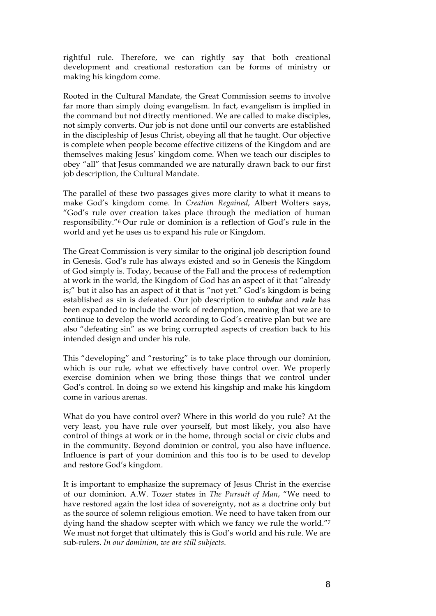rightful rule. Therefore, we can rightly say that both creational development and creational restoration can be forms of ministry or making his kingdom come.

Rooted in the Cultural Mandate, the Great Commission seems to involve far more than simply doing evangelism. In fact, evangelism is implied in the command but not directly mentioned. We are called to make disciples, not simply converts. Our job is not done until our converts are established in the discipleship of Jesus Christ, obeying all that he taught. Our objective is complete when people become effective citizens of the Kingdom and are themselves making Jesus' kingdom come. When we teach our disciples to obey "all" that Jesus commanded we are naturally drawn back to our first job description, the Cultural Mandate.

The parallel of these two passages gives more clarity to what it means to make God's kingdom come. In *Creation Regained*, Albert Wolters says, "God's rule over creation takes place through the mediation of human responsibility."6 Our rule or dominion is a reflection of God's rule in the world and yet he uses us to expand his rule or Kingdom.

The Great Commission is very similar to the original job description found in Genesis. God's rule has always existed and so in Genesis the Kingdom of God simply is. Today, because of the Fall and the process of redemption at work in the world, the Kingdom of God has an aspect of it that "already is;" but it also has an aspect of it that is "not yet." God's kingdom is being established as sin is defeated. Our job description to *subdue* and *rule* has been expanded to include the work of redemption, meaning that we are to continue to develop the world according to God's creative plan but we are also "defeating sin" as we bring corrupted aspects of creation back to his intended design and under his rule.

This "developing" and "restoring" is to take place through our dominion, which is our rule, what we effectively have control over. We properly exercise dominion when we bring those things that we control under God's control. In doing so we extend his kingship and make his kingdom come in various arenas.

What do you have control over? Where in this world do you rule? At the very least, you have rule over yourself, but most likely, you also have control of things at work or in the home, through social or civic clubs and in the community. Beyond dominion or control, you also have influence. Influence is part of your dominion and this too is to be used to develop and restore God's kingdom.

It is important to emphasize the supremacy of Jesus Christ in the exercise of our dominion. A.W. Tozer states in *The Pursuit of Man*, "We need to have restored again the lost idea of sovereignty, not as a doctrine only but as the source of solemn religious emotion. We need to have taken from our dying hand the shadow scepter with which we fancy we rule the world."7 We must not forget that ultimately this is God's world and his rule. We are sub-rulers. *In our dominion, we are still subjects*.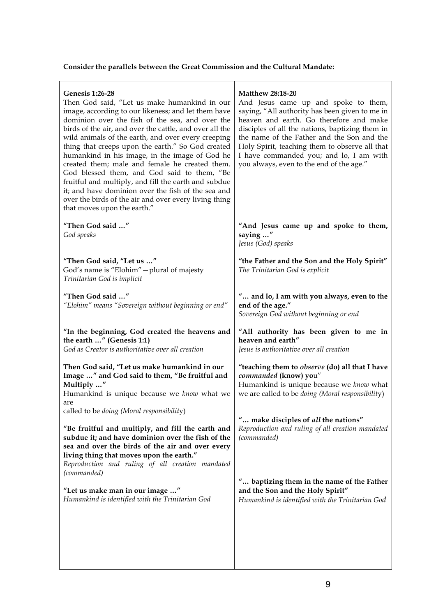## **Consider the parallels between the Great Commission and the Cultural Mandate:**

| <b>Genesis 1:26-28</b><br>Then God said, "Let us make humankind in our<br>image, according to our likeness; and let them have<br>dominion over the fish of the sea, and over the<br>birds of the air, and over the cattle, and over all the<br>wild animals of the earth, and over every creeping<br>thing that creeps upon the earth." So God created<br>humankind in his image, in the image of God he<br>created them; male and female he created them.<br>God blessed them, and God said to them, "Be<br>fruitful and multiply, and fill the earth and subdue<br>it; and have dominion over the fish of the sea and<br>over the birds of the air and over every living thing<br>that moves upon the earth." | <b>Matthew 28:18-20</b><br>And Jesus came up and spoke to them,<br>saying, "All authority has been given to me in<br>heaven and earth. Go therefore and make<br>disciples of all the nations, baptizing them in<br>the name of the Father and the Son and the<br>Holy Spirit, teaching them to observe all that<br>I have commanded you; and lo, I am with<br>you always, even to the end of the age." |
|-----------------------------------------------------------------------------------------------------------------------------------------------------------------------------------------------------------------------------------------------------------------------------------------------------------------------------------------------------------------------------------------------------------------------------------------------------------------------------------------------------------------------------------------------------------------------------------------------------------------------------------------------------------------------------------------------------------------|--------------------------------------------------------------------------------------------------------------------------------------------------------------------------------------------------------------------------------------------------------------------------------------------------------------------------------------------------------------------------------------------------------|
| "Then God said "<br>God speaks                                                                                                                                                                                                                                                                                                                                                                                                                                                                                                                                                                                                                                                                                  | "And Jesus came up and spoke to them,<br>saying "<br>Jesus (God) speaks                                                                                                                                                                                                                                                                                                                                |
| "Then God said, "Let us "<br>God's name is "Elohim" - plural of majesty<br>Trinitarian God is implicit                                                                                                                                                                                                                                                                                                                                                                                                                                                                                                                                                                                                          | "the Father and the Son and the Holy Spirit"<br>The Trinitarian God is explicit                                                                                                                                                                                                                                                                                                                        |
| "Then God said "<br>"Elohim" means "Sovereign without beginning or end"                                                                                                                                                                                                                                                                                                                                                                                                                                                                                                                                                                                                                                         | " and lo, I am with you always, even to the<br>end of the age."<br>Sovereign God without beginning or end                                                                                                                                                                                                                                                                                              |
| "In the beginning, God created the heavens and<br>the earth " (Genesis 1:1)<br>God as Creator is authoritative over all creation                                                                                                                                                                                                                                                                                                                                                                                                                                                                                                                                                                                | "All authority has been given to me in<br>heaven and earth"<br>Jesus is authoritative over all creation                                                                                                                                                                                                                                                                                                |
| Then God said, "Let us make humankind in our<br>Image " and God said to them, "Be fruitful and<br>Multiply "<br>Humankind is unique because we know what we<br>are                                                                                                                                                                                                                                                                                                                                                                                                                                                                                                                                              | "teaching them to <i>observe</i> (do) all that I have<br>commanded (know) you"<br>Humankind is unique because we know what<br>we are called to be doing (Moral responsibility)                                                                                                                                                                                                                         |
| called to be doing (Moral responsibility)<br>"Be fruitful and multiply, and fill the earth and<br>subdue it; and have dominion over the fish of the<br>sea and over the birds of the air and over every<br>living thing that moves upon the earth."<br>Reproduction and ruling of all creation mandated                                                                                                                                                                                                                                                                                                                                                                                                         | " make disciples of all the nations"<br>Reproduction and ruling of all creation mandated<br>(commanded)                                                                                                                                                                                                                                                                                                |
| (commanded)<br>"Let us make man in our image "<br>Humankind is identified with the Trinitarian God                                                                                                                                                                                                                                                                                                                                                                                                                                                                                                                                                                                                              | " baptizing them in the name of the Father<br>and the Son and the Holy Spirit"<br>Humankind is identified with the Trinitarian God                                                                                                                                                                                                                                                                     |
|                                                                                                                                                                                                                                                                                                                                                                                                                                                                                                                                                                                                                                                                                                                 |                                                                                                                                                                                                                                                                                                                                                                                                        |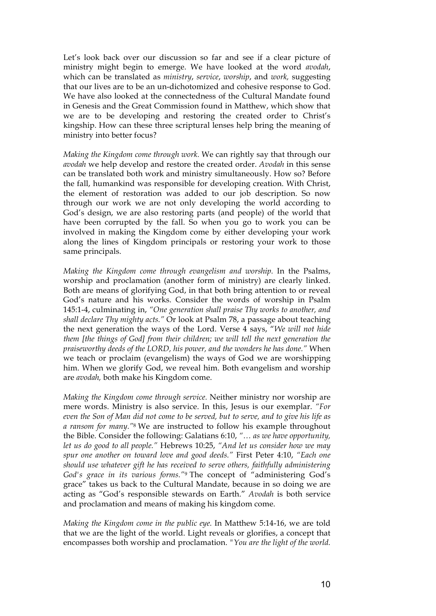Let's look back over our discussion so far and see if a clear picture of ministry might begin to emerge. We have looked at the word *avodah*, which can be translated as *ministry*, *service*, *worship*, and *work,* suggesting that our lives are to be an un-dichotomized and cohesive response to God. We have also looked at the connectedness of the Cultural Mandate found in Genesis and the Great Commission found in Matthew, which show that we are to be developing and restoring the created order to Christ's kingship. How can these three scriptural lenses help bring the meaning of ministry into better focus?

*Making the Kingdom come through work.* We can rightly say that through our *avodah* we help develop and restore the created order. *Avodah* in this sense can be translated both work and ministry simultaneously. How so? Before the fall, humankind was responsible for developing creation. With Christ, the element of restoration was added to our job description. So now through our work we are not only developing the world according to God's design, we are also restoring parts (and people) of the world that have been corrupted by the fall. So when you go to work you can be involved in making the Kingdom come by either developing your work along the lines of Kingdom principals or restoring your work to those same principals.

*Making the Kingdom come through evangelism and worship.* In the Psalms, worship and proclamation (another form of ministry) are clearly linked. Both are means of glorifying God, in that both bring attention to or reveal God's nature and his works. Consider the words of worship in Psalm 145:1-4, culminating in, *"One generation shall praise Thy works to another, and shall declare Thy mighty acts."* Or look at Psalm 78, a passage about teaching the next generation the ways of the Lord. Verse 4 says, "*We will not hide them [the things of God] from their children; we will tell the next generation the praiseworthy deeds of the LORD, his power, and the wonders he has done."* When we teach or proclaim (evangelism) the ways of God we are worshipping him. When we glorify God, we reveal him. Both evangelism and worship are *avodah,* both make his Kingdom come.

*Making the Kingdom come through service.* Neither ministry nor worship are mere words. Ministry is also service. In this, Jesus is our exemplar. *"For even the Son of Man did not come to be served, but to serve, and to give his life as a ransom for many."*<sup>8</sup> We are instructed to follow his example throughout the Bible. Consider the following: Galatians 6:10, *"… as we have opportunity, let us do good to all people."* Hebrews 10:25, *"And let us consider how we may spur one another on toward love and good deeds."* First Peter 4:10, *"Each one should use whatever gift he has received to serve others, faithfully administering God's grace in its various forms."*<sup>9</sup> The concept of "administering God's grace" takes us back to the Cultural Mandate, because in so doing we are acting as "God's responsible stewards on Earth." *Avodah* is both service and proclamation and means of making his kingdom come.

*Making the Kingdom come in the public eye.* In Matthew 5:14-16, we are told that we are the light of the world. Light reveals or glorifies, a concept that encompasses both worship and proclamation. *"You are the light of the world.*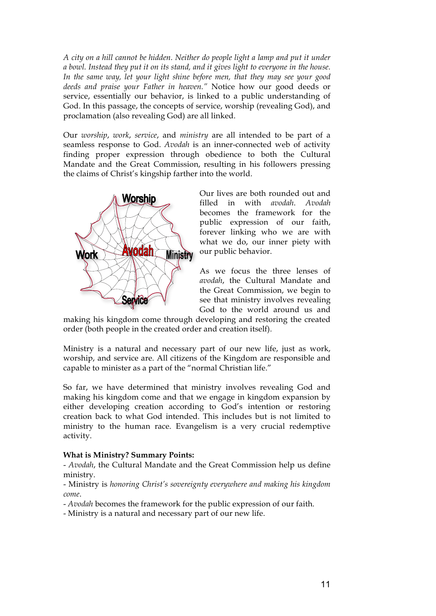*A city on a hill cannot be hidden. Neither do people light a lamp and put it under a bowl. Instead they put it on its stand, and it gives light to everyone in the house. In the same way, let your light shine before men, that they may see your good deeds and praise your Father in heaven."* Notice how our good deeds or service, essentially our behavior, is linked to a public understanding of God. In this passage, the concepts of service, worship (revealing God), and proclamation (also revealing God) are all linked.

Our *worship*, *work*, *service*, and *ministry* are all intended to be part of a seamless response to God. *Avodah* is an inner-connected web of activity finding proper expression through obedience to both the Cultural Mandate and the Great Commission, resulting in his followers pressing the claims of Christ's kingship farther into the world.



Our lives are both rounded out and filled in with *avodah*. *Avodah* becomes the framework for the public expression of our faith, forever linking who we are with what we do, our inner piety with our public behavior.

As we focus the three lenses of *avodah*, the Cultural Mandate and the Great Commission, we begin to see that ministry involves revealing God to the world around us and

making his kingdom come through developing and restoring the created order (both people in the created order and creation itself).

Ministry is a natural and necessary part of our new life, just as work, worship, and service are. All citizens of the Kingdom are responsible and capable to minister as a part of the "normal Christian life."

So far, we have determined that ministry involves revealing God and making his kingdom come and that we engage in kingdom expansion by either developing creation according to God's intention or restoring creation back to what God intended. This includes but is not limited to ministry to the human race. Evangelism is a very crucial redemptive activity.

## **What is Ministry? Summary Points:**

- *Avodah*, the Cultural Mandate and the Great Commission help us define ministry.

- Ministry is *honoring Christ's sovereignty everywhere and making his kingdom come*.

- *Avodah* becomes the framework for the public expression of our faith.

- Ministry is a natural and necessary part of our new life.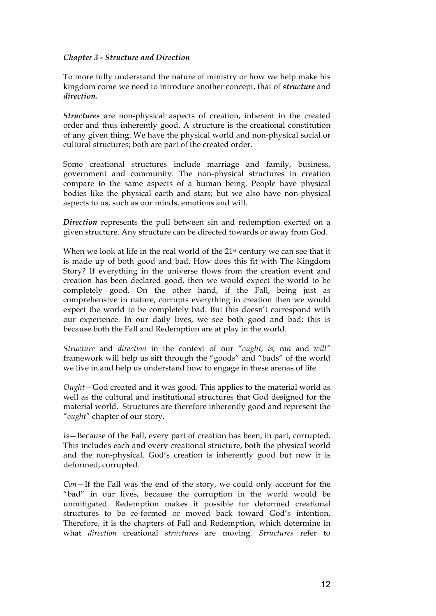## *Chapter 3 - Structure and Direction*

To more fully understand the nature of ministry or how we help make his kingdom come we need to introduce another concept, that of *structure* and *direction.*

*Structures* are non-physical aspects of creation, inherent in the created order and thus inherently good. A structure is the creational constitution of any given thing. We have the physical world and non-physical social or cultural structures; both are part of the created order.

Some creational structures include marriage and family, business, government and community. The non-physical structures in creation compare to the same aspects of a human being. People have physical bodies like the physical earth and stars; but we also have non-physical aspects to us, such as our minds, emotions and will.

*Direction* represents the pull between sin and redemption exerted on a given structure. Any structure can be directed towards or away from God.

When we look at life in the real world of the 21<sup>st</sup> century we can see that it is made up of both good and bad. How does this fit with The Kingdom Story? If everything in the universe flows from the creation event and creation has been declared good, then we would expect the world to be completely good. On the other hand, if the Fall, being just as comprehensive in nature, corrupts everything in creation then we would expect the world to be completely bad. But this doesn't correspond with our experience. In our daily lives, we see both good and bad; this is because both the Fall and Redemption are at play in the world.

*Structure* and *direction* in the context of our "*ought*, *is, can* and *will"* framework will help us sift through the "goods" and "bads" of the world we live in and help us understand how to engage in these arenas of life.

*Ought*—God created and it was good. This applies to the material world as well as the cultural and institutional structures that God designed for the material world. Structures are therefore inherently good and represent the "*ought*" chapter of our story.

*Is*—Because of the Fall, every part of creation has been, in part, corrupted. This includes each and every creational structure, both the physical world and the non-physical. God's creation is inherently good but now it is deformed, corrupted.

*Can*—If the Fall was the end of the story, we could only account for the "bad" in our lives, because the corruption in the world would be unmitigated. Redemption makes it possible for deformed creational structures to be re-formed or moved back toward God's intention. Therefore, it is the chapters of Fall and Redemption, which determine in what *direction* creational *structures* are moving. *Structures* refer to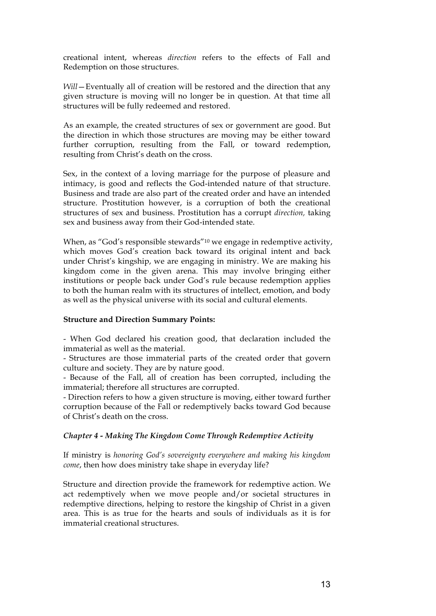creational intent, whereas *direction* refers to the effects of Fall and Redemption on those structures.

*Will*—Eventually all of creation will be restored and the direction that any given structure is moving will no longer be in question. At that time all structures will be fully redeemed and restored.

As an example, the created structures of sex or government are good. But the direction in which those structures are moving may be either toward further corruption, resulting from the Fall, or toward redemption, resulting from Christ's death on the cross.

Sex, in the context of a loving marriage for the purpose of pleasure and intimacy, is good and reflects the God-intended nature of that structure. Business and trade are also part of the created order and have an intended structure. Prostitution however, is a corruption of both the creational structures of sex and business. Prostitution has a corrupt *direction,* taking sex and business away from their God-intended state.

When, as "God's responsible stewards"<sup>10</sup> we engage in redemptive activity, which moves God's creation back toward its original intent and back under Christ's kingship, we are engaging in ministry. We are making his kingdom come in the given arena. This may involve bringing either institutions or people back under God's rule because redemption applies to both the human realm with its structures of intellect, emotion, and body as well as the physical universe with its social and cultural elements.

## **Structure and Direction Summary Points:**

- When God declared his creation good, that declaration included the immaterial as well as the material.

- Structures are those immaterial parts of the created order that govern culture and society. They are by nature good.

- Because of the Fall, all of creation has been corrupted, including the immaterial; therefore all structures are corrupted.

- Direction refers to how a given structure is moving, either toward further corruption because of the Fall or redemptively backs toward God because of Christ's death on the cross.

## *Chapter 4 - Making The Kingdom Come Through Redemptive Activity*

If ministry is *honoring God's sovereignty everywhere and making his kingdom come*, then how does ministry take shape in everyday life?

Structure and direction provide the framework for redemptive action. We act redemptively when we move people and/or societal structures in redemptive directions, helping to restore the kingship of Christ in a given area. This is as true for the hearts and souls of individuals as it is for immaterial creational structures.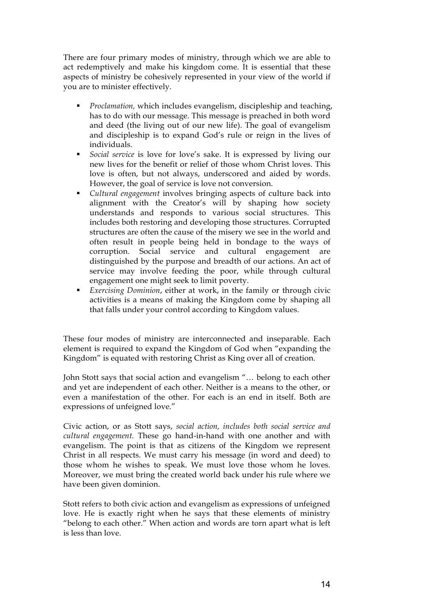There are four primary modes of ministry, through which we are able to act redemptively and make his kingdom come. It is essential that these aspects of ministry be cohesively represented in your view of the world if you are to minister effectively.

- *Proclamation,* which includes evangelism, discipleship and teaching, has to do with our message. This message is preached in both word and deed (the living out of our new life). The goal of evangelism and discipleship is to expand God's rule or reign in the lives of individuals.
- *Social service* is love for love's sake. It is expressed by living our new lives for the benefit or relief of those whom Christ loves. This love is often, but not always, underscored and aided by words. However, the goal of service is love not conversion.
- *Cultural engagement* involves bringing aspects of culture back into alignment with the Creator's will by shaping how society understands and responds to various social structures. This includes both restoring and developing those structures. Corrupted structures are often the cause of the misery we see in the world and often result in people being held in bondage to the ways of corruption. Social service and cultural engagement are distinguished by the purpose and breadth of our actions. An act of service may involve feeding the poor, while through cultural engagement one might seek to limit poverty.
- *Exercising Dominion*, either at work, in the family or through civic activities is a means of making the Kingdom come by shaping all that falls under your control according to Kingdom values.

These four modes of ministry are interconnected and inseparable. Each element is required to expand the Kingdom of God when "expanding the Kingdom" is equated with restoring Christ as King over all of creation.

John Stott says that social action and evangelism "… belong to each other and yet are independent of each other. Neither is a means to the other, or even a manifestation of the other. For each is an end in itself. Both are expressions of unfeigned love."

Civic action, or as Stott says, *social action, includes both social service and cultural engagement.* These go hand-in-hand with one another and with evangelism. The point is that as citizens of the Kingdom we represent Christ in all respects. We must carry his message (in word and deed) to those whom he wishes to speak. We must love those whom he loves. Moreover, we must bring the created world back under his rule where we have been given dominion.

Stott refers to both civic action and evangelism as expressions of unfeigned love. He is exactly right when he says that these elements of ministry "belong to each other." When action and words are torn apart what is left is less than love.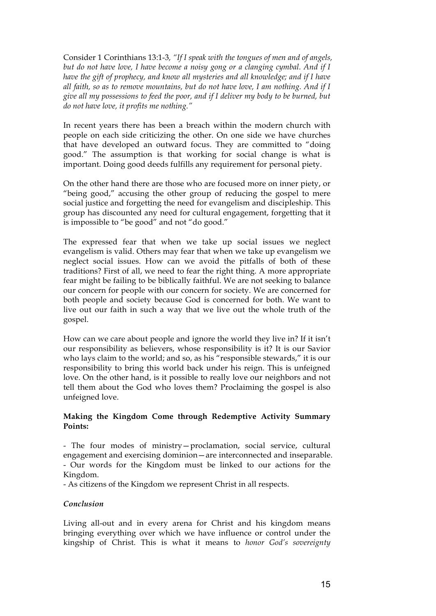Consider 1 Corinthians 13:1-3*, "If I speak with the tongues of men and of angels, but do not have love, I have become a noisy gong or a clanging cymbal. And if I have the gift of prophecy, and know all mysteries and all knowledge; and if I have all faith, so as to remove mountains, but do not have love, I am nothing. And if I give all my possessions to feed the poor, and if I deliver my body to be burned, but do not have love, it profits me nothing."*

In recent years there has been a breach within the modern church with people on each side criticizing the other. On one side we have churches that have developed an outward focus. They are committed to "doing good." The assumption is that working for social change is what is important. Doing good deeds fulfills any requirement for personal piety.

On the other hand there are those who are focused more on inner piety, or "being good," accusing the other group of reducing the gospel to mere social justice and forgetting the need for evangelism and discipleship. This group has discounted any need for cultural engagement, forgetting that it is impossible to "be good" and not "do good."

The expressed fear that when we take up social issues we neglect evangelism is valid. Others may fear that when we take up evangelism we neglect social issues. How can we avoid the pitfalls of both of these traditions? First of all, we need to fear the right thing. A more appropriate fear might be failing to be biblically faithful. We are not seeking to balance our concern for people with our concern for society. We are concerned for both people and society because God is concerned for both. We want to live out our faith in such a way that we live out the whole truth of the gospel.

How can we care about people and ignore the world they live in? If it isn't our responsibility as believers, whose responsibility is it? It is our Savior who lays claim to the world; and so, as his "responsible stewards," it is our responsibility to bring this world back under his reign. This is unfeigned love. On the other hand, is it possible to really love our neighbors and not tell them about the God who loves them? Proclaiming the gospel is also unfeigned love.

## **Making the Kingdom Come through Redemptive Activity Summary Points:**

- The four modes of ministry—proclamation, social service, cultural engagement and exercising dominion—are interconnected and inseparable. - Our words for the Kingdom must be linked to our actions for the Kingdom.

- As citizens of the Kingdom we represent Christ in all respects.

## *Conclusion*

Living all-out and in every arena for Christ and his kingdom means bringing everything over which we have influence or control under the kingship of Christ. This is what it means to *honor God's sovereignty*